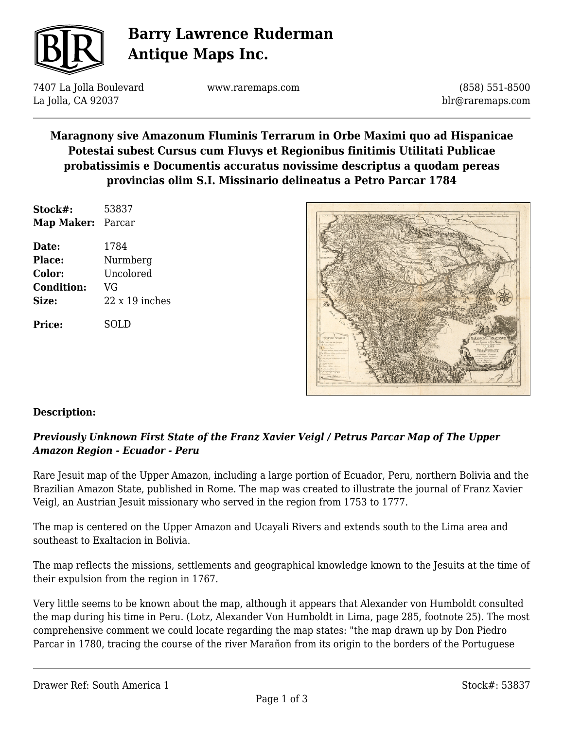

# **Barry Lawrence Ruderman Antique Maps Inc.**

7407 La Jolla Boulevard La Jolla, CA 92037

www.raremaps.com

(858) 551-8500 blr@raremaps.com

### **Maragnony sive Amazonum Fluminis Terrarum in Orbe Maximi quo ad Hispanicae Potestai subest Cursus cum Fluvys et Regionibus finitimis Utilitati Publicae probatissimis e Documentis accuratus novissime descriptus a quodam pereas provincias olim S.I. Missinario delineatus a Petro Parcar 1784**

| Stock#:           | 53837          |
|-------------------|----------------|
| <b>Map Maker:</b> | Parcar         |
| Date:             | 1784           |
| Place:            | Nurmberg       |
| Color:            | Uncolored      |
| <b>Condition:</b> | VG             |
| Size:             | $22x19$ inches |
| <b>Price:</b>     | SOL D          |



#### **Description:**

### *Previously Unknown First State of the Franz Xavier Veigl / Petrus Parcar Map of The Upper Amazon Region - Ecuador - Peru*

Rare Jesuit map of the Upper Amazon, including a large portion of Ecuador, Peru, northern Bolivia and the Brazilian Amazon State, published in Rome. The map was created to illustrate the journal of Franz Xavier Veigl, an Austrian Jesuit missionary who served in the region from 1753 to 1777.

The map is centered on the Upper Amazon and Ucayali Rivers and extends south to the Lima area and southeast to Exaltacion in Bolivia.

The map reflects the missions, settlements and geographical knowledge known to the Jesuits at the time of their expulsion from the region in 1767.

Very little seems to be known about the map, although it appears that Alexander von Humboldt consulted the map during his time in Peru. (Lotz, Alexander Von Humboldt in Lima, page 285, footnote 25). The most comprehensive comment we could locate regarding the map states: "the map drawn up by Don Piedro Parcar in 1780, tracing the course of the river Marañon from its origin to the borders of the Portuguese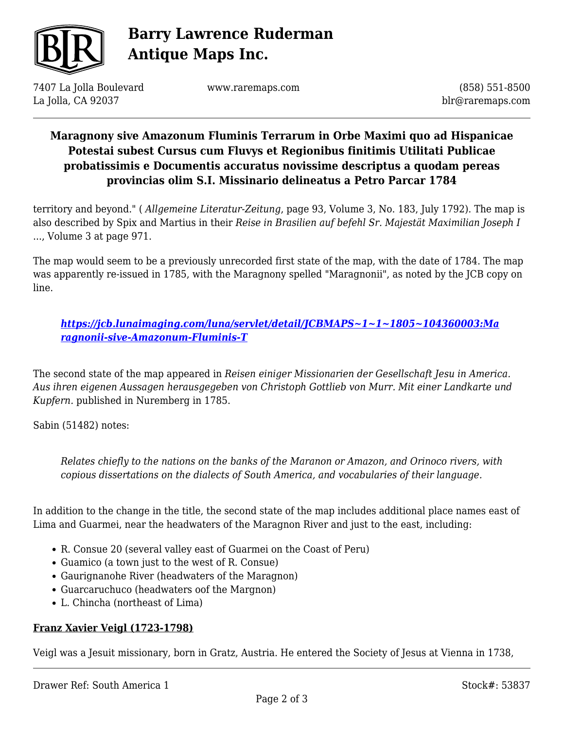

# **Barry Lawrence Ruderman Antique Maps Inc.**

7407 La Jolla Boulevard La Jolla, CA 92037

www.raremaps.com

(858) 551-8500 blr@raremaps.com

## **Maragnony sive Amazonum Fluminis Terrarum in Orbe Maximi quo ad Hispanicae Potestai subest Cursus cum Fluvys et Regionibus finitimis Utilitati Publicae probatissimis e Documentis accuratus novissime descriptus a quodam pereas provincias olim S.I. Missinario delineatus a Petro Parcar 1784**

territory and beyond." ( *Allgemeine Literatur-Zeitung*, page 93, Volume 3, No. 183, July 1792). The map is also described by Spix and Martius in their *Reise in Brasilien auf befehl Sr. Majestät Maximilian Joseph I* ..., Volume 3 at page 971.

The map would seem to be a previously unrecorded first state of the map, with the date of 1784. The map was apparently re-issued in 1785, with the Maragnony spelled "Maragnonii", as noted by the JCB copy on line.

*[https://jcb.lunaimaging.com/luna/servlet/detail/JCBMAPS~1~1~1805~104360003:Ma](https://jcb.lunaimaging.com/luna/servlet/detail/JCBMAPS~1~1~1805~104360003:Maragnonii-sive-Amazonum-Fluminis-T) [ragnonii-sive-Amazonum-Fluminis-T](https://jcb.lunaimaging.com/luna/servlet/detail/JCBMAPS~1~1~1805~104360003:Maragnonii-sive-Amazonum-Fluminis-T)*

The second state of the map appeared in *Reisen einiger Missionarien der Gesellschaft Jesu in America. Aus ihren eigenen Aussagen herausgegeben von Christoph Gottlieb von Murr. Mit einer Landkarte und Kupfern.* published in Nuremberg in 1785.

Sabin (51482) notes:

*Relates chiefly to the nations on the banks of the Maranon or Amazon, and Orinoco rivers, with copious dissertations on the dialects of South America, and vocabularies of their language.*

In addition to the change in the title, the second state of the map includes additional place names east of Lima and Guarmei, near the headwaters of the Maragnon River and just to the east, including:

- R. Consue 20 (several valley east of Guarmei on the Coast of Peru)
- Guamico (a town just to the west of R. Consue)
- Gaurignanohe River (headwaters of the Maragnon)
- Guarcaruchuco (headwaters oof the Margnon)
- L. Chincha (northeast of Lima)

#### **Franz Xavier Veigl (1723-1798)**

Veigl was a Jesuit missionary, born in Gratz, Austria. He entered the Society of Jesus at Vienna in 1738,